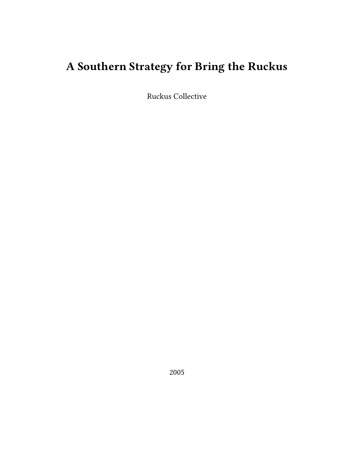# **A Southern Strategy for Bring the Ruckus**

Ruckus Collective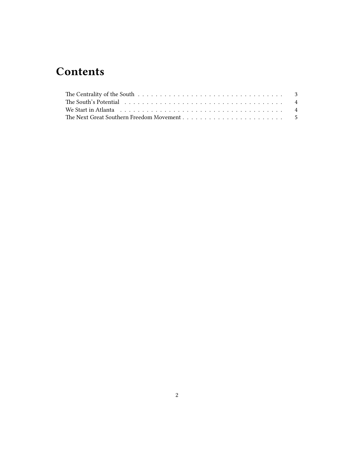## **Contents**

| The Centrality of the South $\ldots \ldots \ldots \ldots \ldots \ldots \ldots \ldots \ldots \ldots$                                     |  |
|-----------------------------------------------------------------------------------------------------------------------------------------|--|
| The South's Potential $\dots\dots\dots\dots\dots\dots\dots\dots\dots\dots\dots\dots\dots\dots$                                          |  |
| We Start in Atlanta $\dots \dots \dots \dots \dots \dots \dots \dots \dots \dots \dots \dots \dots \dots \dots \dots \dots \dots \dots$ |  |
|                                                                                                                                         |  |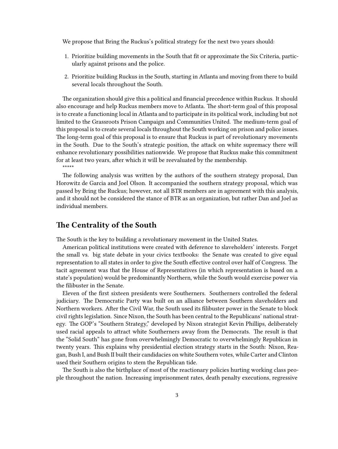We propose that Bring the Ruckus's political strategy for the next two years should:

- 1. Prioritize building movements in the South that fit or approximate the Six Criteria, particularly against prisons and the police.
- 2. Prioritize building Ruckus in the South, starting in Atlanta and moving from there to build several locals throughout the South.

The organization should give this a political and financial precedence within Ruckus. It should also encourage and help Ruckus members move to Atlanta. The short-term goal of this proposal is to create a functioning local in Atlanta and to participate in its political work, including but not limited to the Grassroots Prison Campaign and Communities United. The medium-term goal of this proposal is to create several locals throughout the South working on prison and police issues. The long-term goal of this proposal is to ensure that Ruckus is part of revolutionary movements in the South. Due to the South's strategic position, the attack on white supremacy there will enhance revolutionary possibilities nationwide. We propose that Ruckus make this commitment for at least two years, after which it will be reevaluated by the membership. \*\*\*\*\*

The following analysis was written by the authors of the southern strategy proposal, Dan Horowitz de Garcia and Joel Olson. It accompanied the southern strategy proposal, which was passed by Bring the Ruckus; however, not all BTR members are in agreement with this analysis, and it should not be considered the stance of BTR as an organization, but rather Dan and Joel as individual members.

#### <span id="page-2-0"></span>**The Centrality of the South**

The South is the key to building a revolutionary movement in the United States.

American political institutions were created with deference to slaveholders' interests. Forget the small vs. big state debate in your civics textbooks: the Senate was created to give equal representation to all states in order to give the South effective control over half of Congress. The tacit agreement was that the House of Representatives (in which representation is based on a state's population) would be predominantly Northern, while the South would exercise power via the filibuster in the Senate.

Eleven of the first sixteen presidents were Southerners. Southerners controlled the federal judiciary. The Democratic Party was built on an alliance between Southern slaveholders and Northern workers. After the Civil War, the South used its filibuster power in the Senate to block civil rights legislation. Since Nixon, the South has been central to the Republicans' national strategy. The GOP's "Southern Strategy," developed by Nixon strategist Kevin Phillips, deliberately used racial appeals to attract white Southerners away from the Democrats. The result is that the "Solid South" has gone from overwhelmingly Democratic to overwhelmingly Republican in twenty years. This explains why presidential election strategy starts in the South: Nixon, Reagan, Bush I, and Bush II built their candidacies on white Southern votes, while Carter and Clinton used their Southern origins to stem the Republican tide.

The South is also the birthplace of most of the reactionary policies hurting working class people throughout the nation. Increasing imprisonment rates, death penalty executions, regressive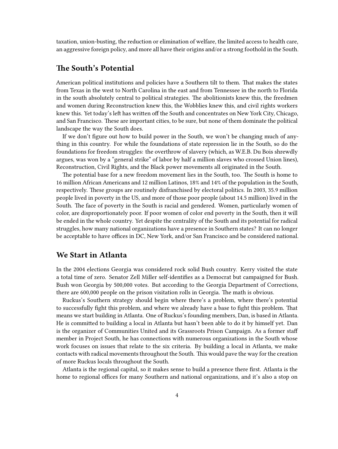taxation, union-busting, the reduction or elimination of welfare, the limited access to health care, an aggressive foreign policy, and more all have their origins and/or a strong foothold in the South.

#### <span id="page-3-0"></span>**The South's Potential**

American political institutions and policies have a Southern tilt to them. That makes the states from Texas in the west to North Carolina in the east and from Tennessee in the north to Florida in the south absolutely central to political strategies. The abolitionists knew this, the freedmen and women during Reconstruction knew this, the Wobblies knew this, and civil rights workers knew this. Yet today's left has written off the South and concentrates on New York City, Chicago, and San Francisco. These are important cities, to be sure, but none of them dominate the political landscape the way the South does.

If we don't figure out how to build power in the South, we won't be changing much of anything in this country. For while the foundations of state repression lie in the South, so do the foundations for freedom struggles: the overthrow of slavery (which, as W.E.B. Du Bois shrewdly argues, was won by a "general strike" of labor by half a million slaves who crossed Union lines), Reconstruction, Civil Rights, and the Black power movements all originated in the South.

The potential base for a new freedom movement lies in the South, too. The South is home to 16 million African Americans and 12 million Latinos, 18% and 14% of the population in the South, respectively. These groups are routinely disfranchised by electoral politics. In 2003, 35.9 million people lived in poverty in the US, and more of those poor people (about 14.5 million) lived in the South. The face of poverty in the South is racial and gendered. Women, particularly women of color, are disproportionately poor. If poor women of color end poverty in the South, then it will be ended in the whole country. Yet despite the centrality of the South and its potential for radical struggles, how many national organizations have a presence in Southern states? It can no longer be acceptable to have offices in DC, New York, and/or San Francisco and be considered national.

#### <span id="page-3-1"></span>**We Start in Atlanta**

In the 2004 elections Georgia was considered rock solid Bush country. Kerry visited the state a total time of zero. Senator Zell Miller self-identifies as a Democrat but campaigned for Bush. Bush won Georgia by 500,000 votes. But according to the Georgia Department of Corrections, there are 600,000 people on the prison visitation rolls in Georgia. The math is obvious.

Ruckus's Southern strategy should begin where there's a problem, where there's potential to successfully fight this problem, and where we already have a base to fight this problem. That means we start building in Atlanta. One of Ruckus's founding members, Dan, is based in Atlanta. He is committed to building a local in Atlanta but hasn't been able to do it by himself yet. Dan is the organizer of Communities United and its Grassroots Prison Campaign. As a former staff member in Project South, he has connections with numerous organizations in the South whose work focuses on issues that relate to the six criteria. By building a local in Atlanta, we make contacts with radical movements throughout the South. This would pave the way for the creation of more Ruckus locals throughout the South.

Atlanta is the regional capital, so it makes sense to build a presence there first. Atlanta is the home to regional offices for many Southern and national organizations, and it's also a stop on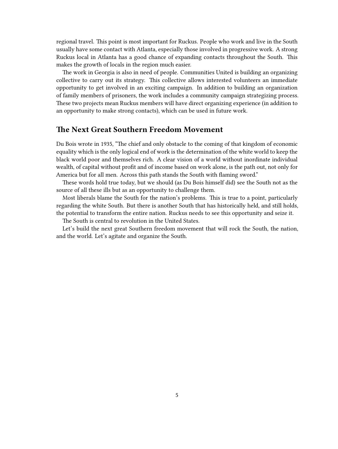regional travel. This point is most important for Ruckus. People who work and live in the South usually have some contact with Atlanta, especially those involved in progressive work. A strong Ruckus local in Atlanta has a good chance of expanding contacts throughout the South. This makes the growth of locals in the region much easier.

The work in Georgia is also in need of people. Communities United is building an organizing collective to carry out its strategy. This collective allows interested volunteers an immediate opportunity to get involved in an exciting campaign. In addition to building an organization of family members of prisoners, the work includes a community campaign strategizing process. These two projects mean Ruckus members will have direct organizing experience (in addition to an opportunity to make strong contacts), which can be used in future work.

### <span id="page-4-0"></span>**The Next Great Southern Freedom Movement**

Du Bois wrote in 1935, "The chief and only obstacle to the coming of that kingdom of economic equality which is the only logical end of work is the determination of the white world to keep the black world poor and themselves rich. A clear vision of a world without inordinate individual wealth, of capital without profit and of income based on work alone, is the path out, not only for America but for all men. Across this path stands the South with flaming sword."

These words hold true today, but we should (as Du Bois himself did) see the South not as the source of all these ills but as an opportunity to challenge them.

Most liberals blame the South for the nation's problems. This is true to a point, particularly regarding the white South. But there is another South that has historically held, and still holds, the potential to transform the entire nation. Ruckus needs to see this opportunity and seize it.

The South is central to revolution in the United States.

Let's build the next great Southern freedom movement that will rock the South, the nation, and the world. Let's agitate and organize the South.